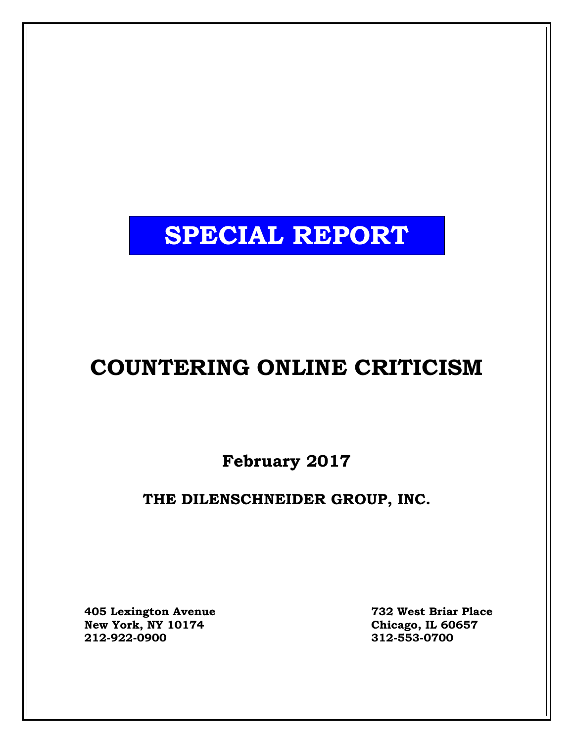# **SPECIAL REPORT**

# **COUNTERING ONLINE CRITICISM**

**February 2017**

# **THE DILENSCHNEIDER GROUP, INC.**

**405 Lexington Avenue 732 West Briar Place New York, NY 10174 Chicago, IL 60657**

**212-922-0900 312-553-0700**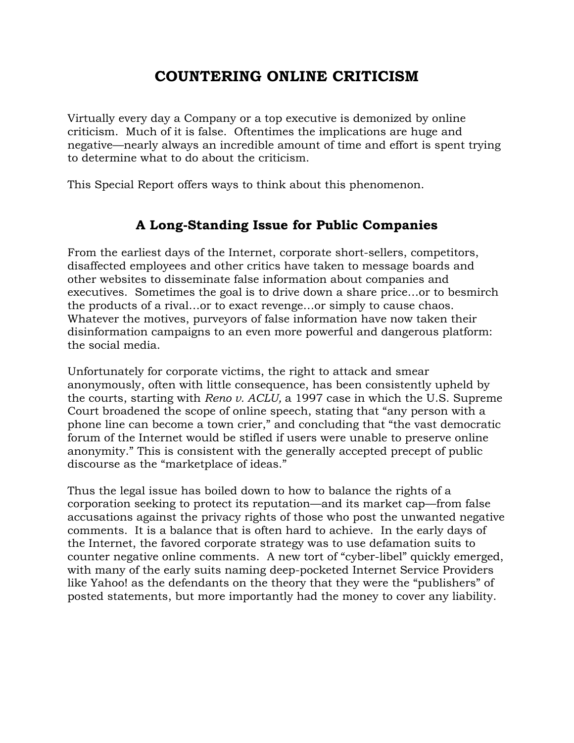# **COUNTERING ONLINE CRITICISM**

Virtually every day a Company or a top executive is demonized by online criticism. Much of it is false. Oftentimes the implications are huge and negative—nearly always an incredible amount of time and effort is spent trying to determine what to do about the criticism.

This Special Report offers ways to think about this phenomenon.

## **A Long-Standing Issue for Public Companies**

From the earliest days of the Internet, corporate short-sellers, competitors, disaffected employees and other critics have taken to message boards and other websites to disseminate false information about companies and executives. Sometimes the goal is to drive down a share price…or to besmirch the products of a rival…or to exact revenge…or simply to cause chaos. Whatever the motives, purveyors of false information have now taken their disinformation campaigns to an even more powerful and dangerous platform: the social media.

Unfortunately for corporate victims, the right to attack and smear anonymously, often with little consequence, has been consistently upheld by the courts, starting with *Reno v. ACLU,* a 1997 case in which the U.S. Supreme Court broadened the scope of online speech, stating that "any person with a phone line can become a town crier," and concluding that "the vast democratic forum of the Internet would be stifled if users were unable to preserve online anonymity." This is consistent with the generally accepted precept of public discourse as the "marketplace of ideas."

Thus the legal issue has boiled down to how to balance the rights of a corporation seeking to protect its reputation—and its market cap—from false accusations against the privacy rights of those who post the unwanted negative comments. It is a balance that is often hard to achieve. In the early days of the Internet, the favored corporate strategy was to use defamation suits to counter negative online comments. A new tort of "cyber-libel" quickly emerged, with many of the early suits naming deep-pocketed Internet Service Providers like Yahoo! as the defendants on the theory that they were the "publishers" of posted statements, but more importantly had the money to cover any liability.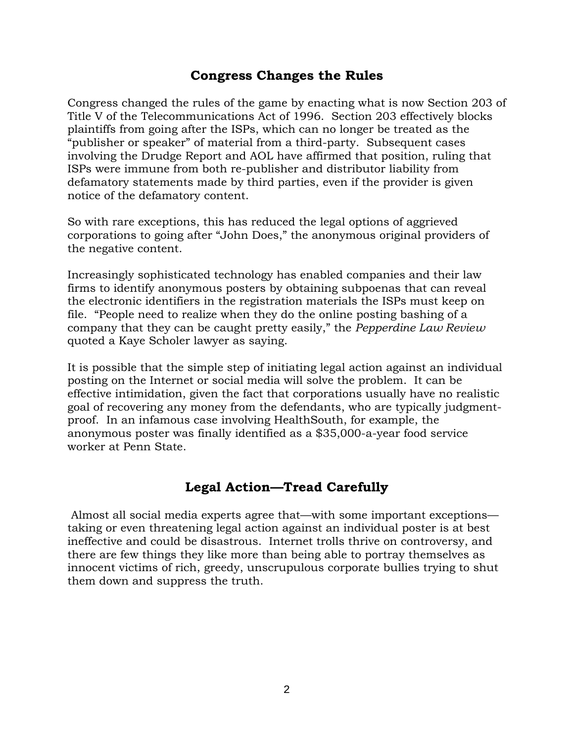#### **Congress Changes the Rules**

Congress changed the rules of the game by enacting what is now Section 203 of Title V of the Telecommunications Act of 1996. Section 203 effectively blocks plaintiffs from going after the ISPs, which can no longer be treated as the "publisher or speaker" of material from a third-party. Subsequent cases involving the Drudge Report and AOL have affirmed that position, ruling that ISPs were immune from both re-publisher and distributor liability from defamatory statements made by third parties, even if the provider is given notice of the defamatory content.

So with rare exceptions, this has reduced the legal options of aggrieved corporations to going after "John Does," the anonymous original providers of the negative content.

Increasingly sophisticated technology has enabled companies and their law firms to identify anonymous posters by obtaining subpoenas that can reveal the electronic identifiers in the registration materials the ISPs must keep on file. "People need to realize when they do the online posting bashing of a company that they can be caught pretty easily," the *Pepperdine Law Review* quoted a Kaye Scholer lawyer as saying.

It is possible that the simple step of initiating legal action against an individual posting on the Internet or social media will solve the problem. It can be effective intimidation, given the fact that corporations usually have no realistic goal of recovering any money from the defendants, who are typically judgmentproof. In an infamous case involving HealthSouth, for example, the anonymous poster was finally identified as a \$35,000-a-year food service worker at Penn State.

#### **Legal Action—Tread Carefully**

Almost all social media experts agree that—with some important exceptions taking or even threatening legal action against an individual poster is at best ineffective and could be disastrous. Internet trolls thrive on controversy, and there are few things they like more than being able to portray themselves as innocent victims of rich, greedy, unscrupulous corporate bullies trying to shut them down and suppress the truth.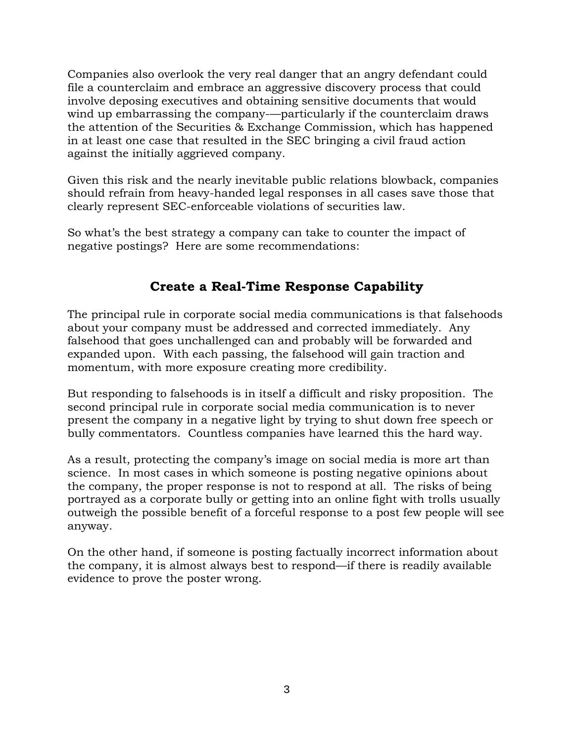Companies also overlook the very real danger that an angry defendant could file a counterclaim and embrace an aggressive discovery process that could involve deposing executives and obtaining sensitive documents that would wind up embarrassing the company-—particularly if the counterclaim draws the attention of the Securities & Exchange Commission, which has happened in at least one case that resulted in the SEC bringing a civil fraud action against the initially aggrieved company.

Given this risk and the nearly inevitable public relations blowback, companies should refrain from heavy-handed legal responses in all cases save those that clearly represent SEC-enforceable violations of securities law.

So what's the best strategy a company can take to counter the impact of negative postings? Here are some recommendations:

## **Create a Real-Time Response Capability**

The principal rule in corporate social media communications is that falsehoods about your company must be addressed and corrected immediately. Any falsehood that goes unchallenged can and probably will be forwarded and expanded upon. With each passing, the falsehood will gain traction and momentum, with more exposure creating more credibility.

But responding to falsehoods is in itself a difficult and risky proposition. The second principal rule in corporate social media communication is to never present the company in a negative light by trying to shut down free speech or bully commentators. Countless companies have learned this the hard way.

As a result, protecting the company's image on social media is more art than science. In most cases in which someone is posting negative opinions about the company, the proper response is not to respond at all. The risks of being portrayed as a corporate bully or getting into an online fight with trolls usually outweigh the possible benefit of a forceful response to a post few people will see anyway.

On the other hand, if someone is posting factually incorrect information about the company, it is almost always best to respond—if there is readily available evidence to prove the poster wrong.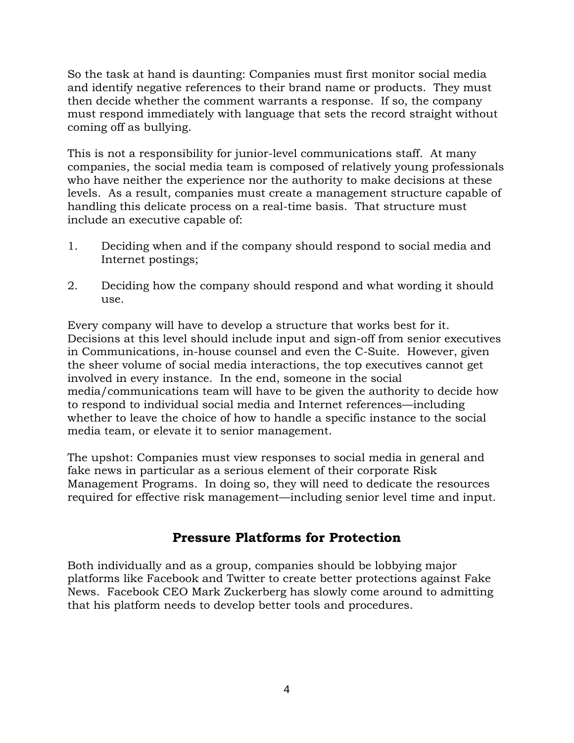So the task at hand is daunting: Companies must first monitor social media and identify negative references to their brand name or products. They must then decide whether the comment warrants a response. If so, the company must respond immediately with language that sets the record straight without coming off as bullying.

This is not a responsibility for junior-level communications staff. At many companies, the social media team is composed of relatively young professionals who have neither the experience nor the authority to make decisions at these levels. As a result, companies must create a management structure capable of handling this delicate process on a real-time basis. That structure must include an executive capable of:

- 1. Deciding when and if the company should respond to social media and Internet postings;
- 2. Deciding how the company should respond and what wording it should use.

Every company will have to develop a structure that works best for it. Decisions at this level should include input and sign-off from senior executives in Communications, in-house counsel and even the C-Suite. However, given the sheer volume of social media interactions, the top executives cannot get involved in every instance. In the end, someone in the social media/communications team will have to be given the authority to decide how to respond to individual social media and Internet references—including whether to leave the choice of how to handle a specific instance to the social media team, or elevate it to senior management.

The upshot: Companies must view responses to social media in general and fake news in particular as a serious element of their corporate Risk Management Programs. In doing so, they will need to dedicate the resources required for effective risk management—including senior level time and input.

## **Pressure Platforms for Protection**

Both individually and as a group, companies should be lobbying major platforms like Facebook and Twitter to create better protections against Fake News. Facebook CEO Mark Zuckerberg has slowly come around to admitting that his platform needs to develop better tools and procedures.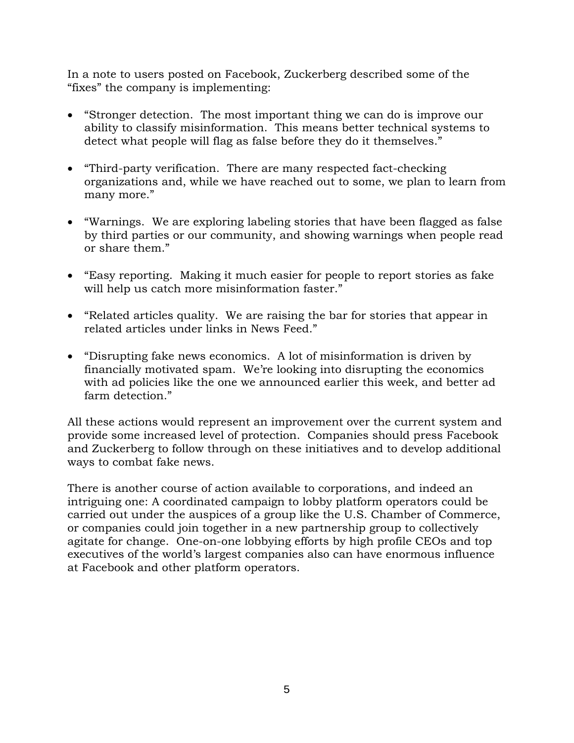In a note to users posted on Facebook, Zuckerberg described some of the "fixes" the company is implementing:

- "Stronger detection. The most important thing we can do is improve our ability to classify misinformation. This means better technical systems to detect what people will flag as false before they do it themselves."
- "Third-party verification. There are many respected fact-checking organizations and, while we have reached out to some, we plan to learn from many more."
- "Warnings. We are exploring labeling stories that have been flagged as false by third parties or our community, and showing warnings when people read or share them."
- "Easy reporting. Making it much easier for people to report stories as fake will help us catch more misinformation faster."
- "Related articles quality. We are raising the bar for stories that appear in related articles under links in News Feed."
- "Disrupting fake news economics. A lot of misinformation is driven by financially motivated spam. We're looking into disrupting the economics with ad policies like the one we announced earlier this week, and better ad farm detection."

All these actions would represent an improvement over the current system and provide some increased level of protection. Companies should press Facebook and Zuckerberg to follow through on these initiatives and to develop additional ways to combat fake news.

There is another course of action available to corporations, and indeed an intriguing one: A coordinated campaign to lobby platform operators could be carried out under the auspices of a group like the U.S. Chamber of Commerce, or companies could join together in a new partnership group to collectively agitate for change. One-on-one lobbying efforts by high profile CEOs and top executives of the world's largest companies also can have enormous influence at Facebook and other platform operators.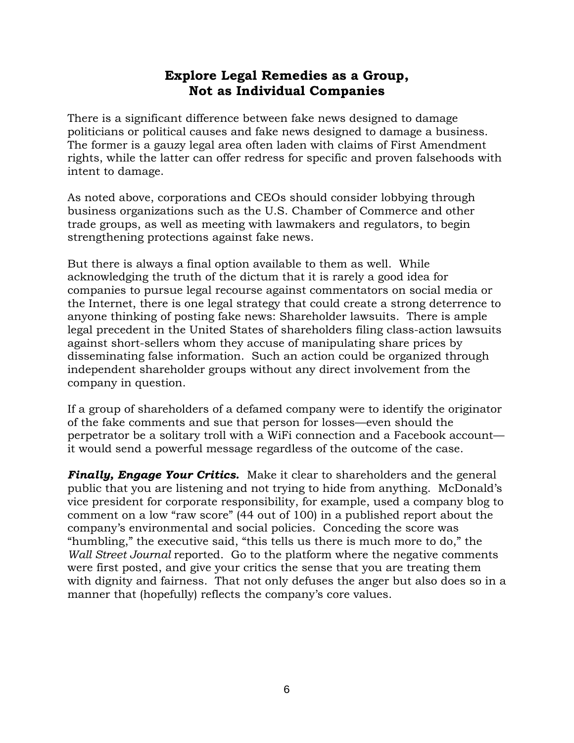## **Explore Legal Remedies as a Group, Not as Individual Companies**

There is a significant difference between fake news designed to damage politicians or political causes and fake news designed to damage a business. The former is a gauzy legal area often laden with claims of First Amendment rights, while the latter can offer redress for specific and proven falsehoods with intent to damage.

As noted above, corporations and CEOs should consider lobbying through business organizations such as the U.S. Chamber of Commerce and other trade groups, as well as meeting with lawmakers and regulators, to begin strengthening protections against fake news.

But there is always a final option available to them as well. While acknowledging the truth of the dictum that it is rarely a good idea for companies to pursue legal recourse against commentators on social media or the Internet, there is one legal strategy that could create a strong deterrence to anyone thinking of posting fake news: Shareholder lawsuits. There is ample legal precedent in the United States of shareholders filing class-action lawsuits against short-sellers whom they accuse of manipulating share prices by disseminating false information. Such an action could be organized through independent shareholder groups without any direct involvement from the company in question.

If a group of shareholders of a defamed company were to identify the originator of the fake comments and sue that person for losses—even should the perpetrator be a solitary troll with a WiFi connection and a Facebook account it would send a powerful message regardless of the outcome of the case.

*Finally, Engage Your Critics.* Make it clear to shareholders and the general public that you are listening and not trying to hide from anything. McDonald's vice president for corporate responsibility, for example, used a company blog to comment on a low "raw score" (44 out of 100) in a published report about the company's environmental and social policies. Conceding the score was "humbling," the executive said, "this tells us there is much more to do," the *Wall Street Journal* reported. Go to the platform where the negative comments were first posted, and give your critics the sense that you are treating them with dignity and fairness. That not only defuses the anger but also does so in a manner that (hopefully) reflects the company's core values.